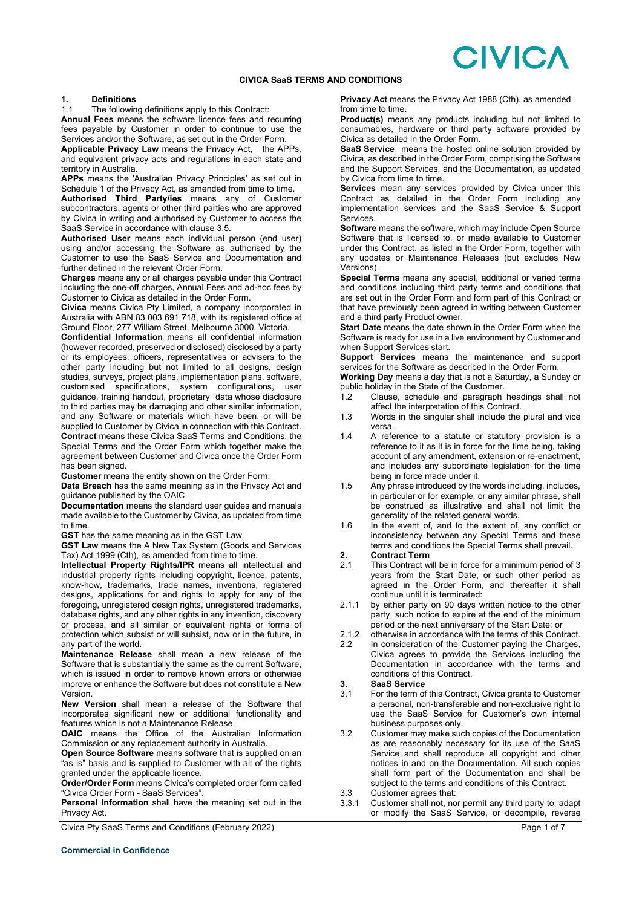# **CIVICA**

### **CIVICA SaaS TERMS AND CONDITIONS**

# **1. Definitions**

The following definitions apply to this Contract:

**Annual Fees** means the software licence fees and recurring fees payable by Customer in order to continue to use the Services and/or the Software, as set out in the Order Form.

**Applicable Privacy Law** means the Privacy Act, the APPs, and equivalent privacy acts and regulations in each state and territory in Australia.

**APPs** means the 'Australian Privacy Principles' as set out in Schedule 1 of the Privacy Act, as amended from time to time.

**Authorised Third Party/ies** means any of Customer subcontractors, agents or other third parties who are approved by Civica in writing and authorised by Customer to access the SaaS Service in accordance with clause 3.5.

**Authorised User** means each individual person (end user) using and/or accessing the Software as authorised by the Customer to use the SaaS Service and Documentation and further defined in the relevant Order Form.

**Charges** means any or all charges payable under this Contract including the one-off charges, Annual Fees and ad-hoc fees by Customer to Civica as detailed in the Order Form.

**Civica** means Civica Pty Limited, a company incorporated in Australia with ABN 83 003 691 718, with its registered office at Ground Floor, 277 William Street, Melbourne 3000, Victoria.

**Confidential Information** means all confidential information (however recorded, preserved or disclosed) disclosed by a party or its employees, officers, representatives or advisers to the other party including but not limited to all designs, design studies, surveys, project plans, implementation plans, software, customised specifications, system configurations, user guidance, training handout, proprietary data whose disclosure to third parties may be damaging and other similar information, and any Software or materials which have been, or will be supplied to Customer by Civica in connection with this Contract. **Contract** means these Civica SaaS Terms and Conditions, the Special Terms and the Order Form which together make the agreement between Customer and Civica once the Order Form has been signed.

**Customer** means the entity shown on the Order Form.

**Data Breach** has the same meaning as in the Privacy Act and guidance published by the OAIC.

**Documentation** means the standard user guides and manuals made available to the Customer by Civica, as updated from time to time.

**GST** has the same meaning as in the GST Law.

**GST Law** means the A New Tax System (Goods and Services Tax) Act 1999 (Cth), as amended from time to time.

**Intellectual Property Rights/IPR** means all intellectual and industrial property rights including copyright, licence, patents, know-how, trademarks, trade names, inventions, registered designs, applications for and rights to apply for any of the foregoing, unregistered design rights, unregistered trademarks, database rights, and any other rights in any invention, discovery or process, and all similar or equivalent rights or forms of protection which subsist or will subsist, now or in the future, in any part of the world.

**Maintenance Release** shall mean a new release of the Software that is substantially the same as the current Software, which is issued in order to remove known errors or otherwise improve or enhance the Software but does not constitute a New Version.

**New Version** shall mean a release of the Software that incorporates significant new or additional functionality and features which is not a Maintenance Release.

**OAIC** means the Office of the Australian Information Commission or any replacement authority in Australia.

**Open Source Software** means software that is supplied on an "as is" basis and is supplied to Customer with all of the rights granted under the applicable licence.

**Order/Order Form** means Civica's completed order form called "Civica Order Form - SaaS Services".

**Personal Information** shall have the meaning set out in the Privacy Act.

Civica Pty SaaS Terms and Conditions (February 2022) **Page 1 of 7** and 2012 1997 **Page 1 of 7** 

**Privacy Act** means the Privacy Act 1988 (Cth), as amended from time to time.

**Product(s)** means any products including but not limited to consumables, hardware or third party software provided by Civica as detailed in the Order Form.

**SaaS Service** means the hosted online solution provided by Civica, as described in the Order Form, comprising the Software and the Support Services, and the Documentation, as updated by Civica from time to time.

**Services** mean any services provided by Civica under this Contract as detailed in the Order Form including any implementation services and the SaaS Service & Support Services.

**Software** means the software, which may include Open Source Software that is licensed to, or made available to Customer under this Contract, as listed in the Order Form, together with any updates or Maintenance Releases (but excludes New Versions).

**Special Terms** means any special, additional or varied terms and conditions including third party terms and conditions that are set out in the Order Form and form part of this Contract or that have previously been agreed in writing between Customer and a third party Product owner.

**Start Date** means the date shown in the Order Form when the Software is ready for use in a live environment by Customer and when Support Services start.

**Support Services** means the maintenance and support services for the Software as described in the Order Form.

**Working Day** means a day that is not a Saturday, a Sunday or public holiday in the State of the Customer.<br>1.2 Clause, schedule and paragraph

- Clause, schedule and paragraph headings shall not affect the interpretation of this Contract.
- 1.3 Words in the singular shall include the plural and vice versa.
- 1.4 A reference to a statute or statutory provision is a reference to it as it is in force for the time being, taking account of any amendment, extension or re-enactment, and includes any subordinate legislation for the time being in force made under it.
- 1.5 Any phrase introduced by the words including, includes, in particular or for example, or any similar phrase, shall be construed as illustrative and shall not limit the generality of the related general words.
- 1.6 In the event of, and to the extent of, any conflict or inconsistency between any Special Terms and these terms and conditions the Special Terms shall prevail.

# **2. Contract Term**

- This Contract will be in force for a minimum period of 3 years from the Start Date, or such other period as agreed in the Order Form, and thereafter it shall continue until it is terminated:
- 2.1.1 by either party on 90 days written notice to the other party, such notice to expire at the end of the minimum period or the next anniversary of the Start Date; or
- 2.1.2 otherwise in accordance with the terms of this Contract.<br>2.2 In consideration of the Customer paying the Charges.
- In consideration of the Customer paying the Charges, Civica agrees to provide the Services including the Documentation in accordance with the terms and conditions of this Contract.

## **3. SaaS Service**

- For the term of this Contract, Civica grants to Customer a personal, non-transferable and non-exclusive right to use the SaaS Service for Customer's own internal business purposes only.
- 3.2 Customer may make such copies of the Documentation as are reasonably necessary for its use of the SaaS Service and shall reproduce all copyright and other notices in and on the Documentation. All such copies shall form part of the Documentation and shall be subject to the terms and conditions of this Contract.
- 3.3 Customer agrees that:<br>3.3.1 Customer shall not, no
- Customer shall not, nor permit any third party to, adapt or modify the SaaS Service, or decompile, reverse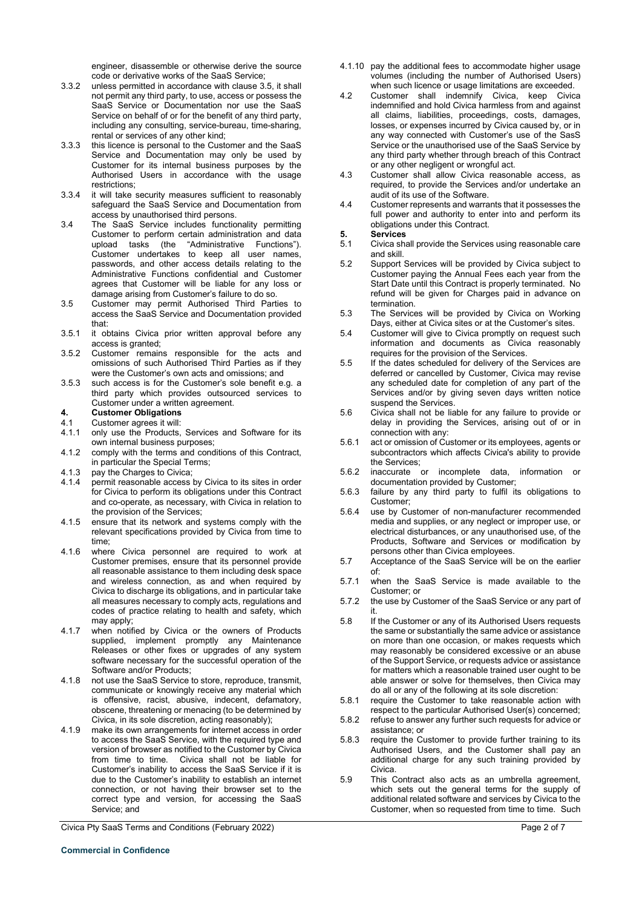engineer, disassemble or otherwise derive the source code or derivative works of the SaaS Service;

- 3.3.2 unless permitted in accordance with clause 3.5, it shall not permit any third party, to use, access or possess the SaaS Service or Documentation nor use the SaaS Service on behalf of or for the benefit of any third party, including any consulting, service-bureau, time-sharing, rental or services of any other kind;
- 3.3.3 this licence is personal to the Customer and the SaaS Service and Documentation may only be used by Customer for its internal business purposes by the Authorised Users in accordance with the usage restrictions;
- 3.3.4 it will take security measures sufficient to reasonably safeguard the SaaS Service and Documentation from access by unauthorised third persons.
- 3.4 The SaaS Service includes functionality permitting Customer to perform certain administration and data upload tasks (the "Administrative Functions"). Customer undertakes to keep all user names, passwords, and other access details relating to the Administrative Functions confidential and Customer agrees that Customer will be liable for any loss or damage arising from Customer's failure to do so.
- 3.5 Customer may permit Authorised Third Parties to access the SaaS Service and Documentation provided that:
- 3.5.1 it obtains Civica prior written approval before any access is granted;
- 3.5.2 Customer remains responsible for the acts and omissions of such Authorised Third Parties as if they were the Customer's own acts and omissions; and
- 3.5.3 such access is for the Customer's sole benefit e.g. a third party which provides outsourced services to Customer under a written agreement.
- **4. Customer Obligations**
- 4.1 Customer agrees it will:<br>4.1.1 only use the Products,
- only use the Products, Services and Software for its own internal business purposes;
- 4.1.2 comply with the terms and conditions of this Contract, in particular the Special Terms;
- 4.1.3 pay the Charges to Civica;
- 4.1.4 permit reasonable access by Civica to its sites in order for Civica to perform its obligations under this Contract and co-operate, as necessary, with Civica in relation to the provision of the Services;
- 4.1.5 ensure that its network and systems comply with the relevant specifications provided by Civica from time to time;
- 4.1.6 where Civica personnel are required to work at Customer premises, ensure that its personnel provide all reasonable assistance to them including desk space and wireless connection, as and when required by Civica to discharge its obligations, and in particular take all measures necessary to comply acts, regulations and codes of practice relating to health and safety, which may apply;
- 4.1.7 when notified by Civica or the owners of Products supplied, implement promptly any Maintenance Releases or other fixes or upgrades of any system software necessary for the successful operation of the Software and/or Products;
- 4.1.8 not use the SaaS Service to store, reproduce, transmit, communicate or knowingly receive any material which is offensive, racist, abusive, indecent, defamatory, obscene, threatening or menacing (to be determined by Civica, in its sole discretion, acting reasonably);
- 4.1.9 make its own arrangements for internet access in order to access the SaaS Service, with the required type and version of browser as notified to the Customer by Civica from time to time. Civica shall not be liable for Customer's inability to access the SaaS Service if it is due to the Customer's inability to establish an internet connection, or not having their browser set to the correct type and version, for accessing the SaaS Service; and

Civica Pty SaaS Terms and Conditions (February 2022) **Page 2 of 7** and 2 of 7

- 4.1.10 pay the additional fees to accommodate higher usage volumes (including the number of Authorised Users) when such licence or usage limitations are exceeded.
- 4.2 Customer shall indemnify Civica, keep Civica indemnified and hold Civica harmless from and against all claims, liabilities, proceedings, costs, damages, losses, or expenses incurred by Civica caused by, or in any way connected with Customer's use of the SasS Service or the unauthorised use of the SaaS Service by any third party whether through breach of this Contract or any other negligent or wrongful act.
- 4.3 Customer shall allow Civica reasonable access, as required, to provide the Services and/or undertake an audit of its use of the Software.
- 4.4 Customer represents and warrants that it possesses the full power and authority to enter into and perform its obligations under this Contract.

# **5. Services**

- 5.1 Civica shall provide the Services using reasonable care and skill.
- 5.2 Support Services will be provided by Civica subject to Customer paying the Annual Fees each year from the Start Date until this Contract is properly terminated. No refund will be given for Charges paid in advance on termination.
- 5.3 The Services will be provided by Civica on Working Days, either at Civica sites or at the Customer's sites.
- 5.4 Customer will give to Civica promptly on request such information and documents as Civica reasonably requires for the provision of the Services.
- 5.5 If the dates scheduled for delivery of the Services are deferred or cancelled by Customer, Civica may revise any scheduled date for completion of any part of the Services and/or by giving seven days written notice suspend the Services.
- 5.6 Civica shall not be liable for any failure to provide or delay in providing the Services, arising out of or in connection with any:
- 5.6.1 act or omission of Customer or its employees, agents or subcontractors which affects Civica's ability to provide the Services;
- 5.6.2 inaccurate or incomplete data, information or documentation provided by Customer;
- 5.6.3 failure by any third party to fulfil its obligations to Customer;
- 5.6.4 use by Customer of non-manufacturer recommended media and supplies, or any neglect or improper use, or electrical disturbances, or any unauthorised use, of the Products, Software and Services or modification by persons other than Civica employees.
- 5.7 Acceptance of the SaaS Service will be on the earlier of:
- 5.7.1 when the SaaS Service is made available to the Customer; or
- 5.7.2 the use by Customer of the SaaS Service or any part of it.
- 5.8 If the Customer or any of its Authorised Users requests the same or substantially the same advice or assistance on more than one occasion, or makes requests which may reasonably be considered excessive or an abuse of the Support Service, or requests advice or assistance for matters which a reasonable trained user ought to be able answer or solve for themselves, then Civica may do all or any of the following at its sole discretion:
- 5.8.1 require the Customer to take reasonable action with respect to the particular Authorised User(s) concerned;
- 5.8.2 refuse to answer any further such requests for advice or assistance; or
- 5.8.3 require the Customer to provide further training to its Authorised Users, and the Customer shall pay an additional charge for any such training provided by Civica.
- 5.9 This Contract also acts as an umbrella agreement, which sets out the general terms for the supply of additional related software and services by Civica to the Customer, when so requested from time to time. Such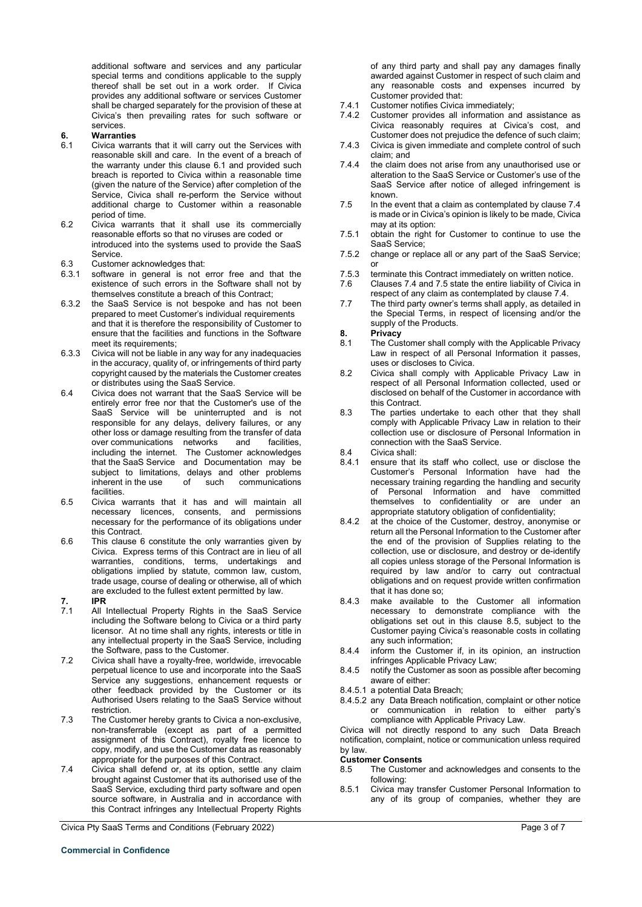additional software and services and any particular special terms and conditions applicable to the supply thereof shall be set out in a work order. If Civica provides any additional software or services Customer shall be charged separately for the provision of these at Civica's then prevailing rates for such software or services.

# **6. Warranties**

- Civica warrants that it will carry out the Services with reasonable skill and care. In the event of a breach of the warranty under this clause 6.1 and provided such breach is reported to Civica within a reasonable time (given the nature of the Service) after completion of the Service, Civica shall re-perform the Service without additional charge to Customer within a reasonable period of time.
- 6.2 Civica warrants that it shall use its commercially reasonable efforts so that no viruses are coded or introduced into the systems used to provide the SaaS Service.
- 6.3 Customer acknowledges that:<br>6.3.1 software in general is not
- software in general is not error free and that the existence of such errors in the Software shall not by themselves constitute a breach of this Contract;
- 6.3.2 the SaaS Service is not bespoke and has not been prepared to meet Customer's individual requirements and that it is therefore the responsibility of Customer to ensure that the facilities and functions in the Software meet its requirements;
- 6.3.3 Civica will not be liable in any way for any inadequacies in the accuracy, quality of, or infringements of third party copyright caused by the materials the Customer creates or distributes using the SaaS Service.
- 6.4 Civica does not warrant that the SaaS Service will be entirely error free nor that the Customer's use of the SaaS Service will be uninterrupted and is not responsible for any delays, delivery failures, or any other loss or damage resulting from the transfer of data over communications networks and facilities, including the internet. The Customer acknowledges that the SaaS Service and Documentation may be subject to limitations, delays and other problems inherent in the use of such communications facilities.
- 6.5 Civica warrants that it has and will maintain all necessary licences, consents, and permissions necessary for the performance of its obligations under this Contract.
- 6.6 This clause 6 constitute the only warranties given by Civica. Express terms of this Contract are in lieu of all warranties, conditions, terms, undertakings and obligations implied by statute, common law, custom, trade usage, course of dealing or otherwise, all of which are excluded to the fullest extent permitted by law.<br> **IPR**
- 
- $\frac{7.}{7.1}$ All Intellectual Property Rights in the SaaS Service including the Software belong to Civica or a third party licensor. At no time shall any rights, interests or title in any intellectual property in the SaaS Service, including the Software, pass to the Customer.
- 7.2 Civica shall have a royalty-free, worldwide, irrevocable perpetual licence to use and incorporate into the SaaS Service any suggestions, enhancement requests or other feedback provided by the Customer or its Authorised Users relating to the SaaS Service without restriction.
- 7.3 The Customer hereby grants to Civica a non-exclusive, non-transferrable (except as part of a permitted assignment of this Contract), royalty free licence to copy, modify, and use the Customer data as reasonably appropriate for the purposes of this Contract.
- 7.4 Civica shall defend or, at its option, settle any claim brought against Customer that its authorised use of the SaaS Service, excluding third party software and open source software, in Australia and in accordance with this Contract infringes any Intellectual Property Rights

Civica Pty SaaS Terms and Conditions (February 2022) **Page 3 of 7** and 2011 1997 and 2012 1998 and 2012 1999 and 2012

of any third party and shall pay any damages finally awarded against Customer in respect of such claim and any reasonable costs and expenses incurred by Customer provided that:

- 7.4.1 Customer notifies Civica immediately;<br>7.4.2 Customer provides all information ar
- Customer provides all information and assistance as Civica reasonably requires at Civica's cost, and Customer does not prejudice the defence of such claim;
- 7.4.3 Civica is given immediate and complete control of such claim; and
- 7.4.4 the claim does not arise from any unauthorised use or alteration to the SaaS Service or Customer's use of the SaaS Service after notice of alleged infringement is known.
- 7.5 In the event that a claim as contemplated by clause 7.4 is made or in Civica's opinion is likely to be made, Civica may at its option:
- 7.5.1 obtain the right for Customer to continue to use the SaaS Service;
- 7.5.2 change or replace all or any part of the SaaS Service; or
- 7.5.3 terminate this Contract immediately on written notice.<br>7.6 Clauses 7.4 and 7.5 state the entire liability of Civica
- 7.6 Clauses 7.4 and 7.5 state the entire liability of Civica in respect of any claim as contemplated by clause 7.4.
- 7.7 The third party owner's terms shall apply, as detailed in the Special Terms, in respect of licensing and/or the supply of the Products.
- **8. Privacy**
- The Customer shall comply with the Applicable Privacy Law in respect of all Personal Information it passes, uses or discloses to Civica.
- 8.2 Civica shall comply with Applicable Privacy Law in respect of all Personal Information collected, used or disclosed on behalf of the Customer in accordance with this Contract.
- 8.3 The parties undertake to each other that they shall comply with Applicable Privacy Law in relation to their collection use or disclosure of Personal Information in connection with the SaaS Service.
- 8.4 Civica shall:<br>8.4.1 ensure that
- ensure that its staff who collect, use or disclose the Customer's Personal Information have had the necessary training regarding the handling and security of Personal Information and have committed themselves to confidentiality or are under an appropriate statutory obligation of confidentiality;
- 8.4.2 at the choice of the Customer, destroy, anonymise or return all the Personal Information to the Customer after the end of the provision of Supplies relating to the collection, use or disclosure, and destroy or de-identify all copies unless storage of the Personal Information is required by law and/or to carry out contractual obligations and on request provide written confirmation that it has done so;
- 8.4.3 make available to the Customer all information necessary to demonstrate compliance with the obligations set out in this clause 8.5, subject to the Customer paying Civica's reasonable costs in collating any such information;
- 8.4.4 inform the Customer if, in its opinion, an instruction infringes Applicable Privacy Law;
- 8.4.5 notify the Customer as soon as possible after becoming aware of either:
- 8.4.5.1 a potential Data Breach;
- 8.4.5.2 any Data Breach notification, complaint or other notice or communication in relation to either party's compliance with Applicable Privacy Law.

Civica will not directly respond to any such Data Breach notification, complaint, notice or communication unless required by law.

# **Customer Consents**<br>8.5 The Custome

- The Customer and acknowledges and consents to the following:
- 8.5.1 Civica may transfer Customer Personal Information to any of its group of companies, whether they are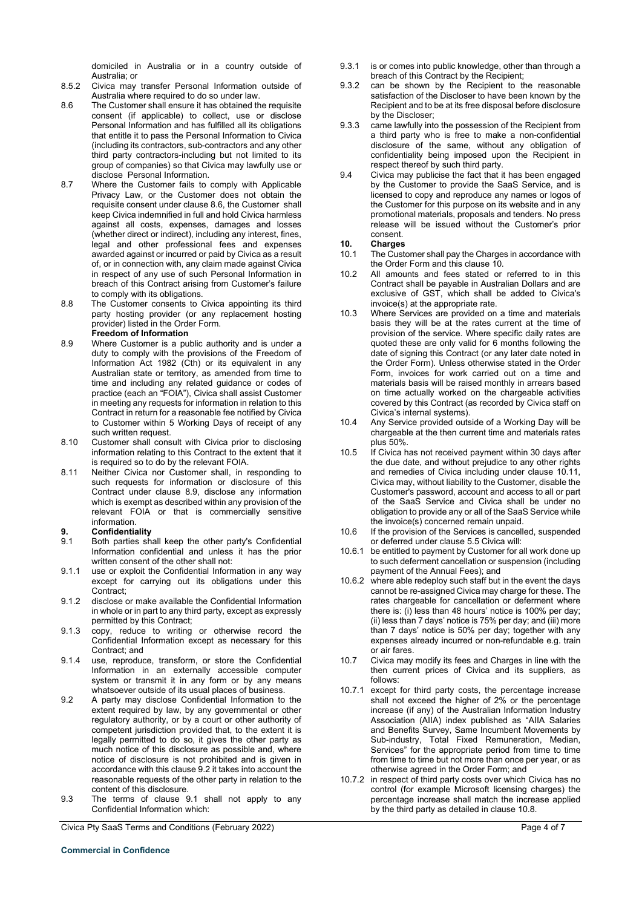domiciled in Australia or in a country outside of Australia; or

- 8.5.2 Civica may transfer Personal Information outside of Australia where required to do so under law.
- 8.6 The Customer shall ensure it has obtained the requisite consent (if applicable) to collect, use or disclose Personal Information and has fulfilled all its obligations that entitle it to pass the Personal Information to Civica (including its contractors, sub-contractors and any other third party contractors-including but not limited to its group of companies) so that Civica may lawfully use or disclose Personal Information.
- 8.7 Where the Customer fails to comply with Applicable Privacy Law, or the Customer does not obtain the requisite consent under clause 8.6, the Customer shall keep Civica indemnified in full and hold Civica harmless against all costs, expenses, damages and losses (whether direct or indirect), including any interest, fines, legal and other professional fees and expenses awarded against or incurred or paid by Civica as a result of, or in connection with, any claim made against Civica in respect of any use of such Personal Information in breach of this Contract arising from Customer's failure to comply with its obligations.
- 8.8 The Customer consents to Civica appointing its third party hosting provider (or any replacement hosting provider) listed in the Order Form. **Freedom of Information**
- <span id="page-3-0"></span>8.9 Where Customer is a public authority and is under a duty to comply with the provisions of the Freedom of Information Act 1982 (Cth) or its equivalent in any Australian state or territory, as amended from time to time and including any related guidance or codes of practice (each an "FOIA"), Civica shall assist Customer in meeting any requests for information in relation to this Contract in return for a reasonable fee notified by Civica to Customer within 5 Working Days of receipt of any such written request.
- 8.10 Customer shall consult with Civica prior to disclosing information relating to this Contract to the extent that it is required so to do by the relevant FOIA.
- 8.11 Neither Civica nor Customer shall, in responding to such requests for information or disclosure of this Contract under clause [8.9,](#page-3-0) disclose any information which is exempt as described within any provision of the relevant FOIA or that is commercially sensitive information.

# **9. Confidentiality**

- Both parties shall keep the other party's Confidential Information confidential and unless it has the prior written consent of the other shall not:
- 9.1.1 use or exploit the Confidential Information in any way except for carrying out its obligations under this Contract;
- 9.1.2 disclose or make available the Confidential Information in whole or in part to any third party, except as expressly permitted by this Contract;
- 9.1.3 copy, reduce to writing or otherwise record the Confidential Information except as necessary for this Contract; and
- 9.1.4 use, reproduce, transform, or store the Confidential Information in an externally accessible computer system or transmit it in any form or by any means whatsoever outside of its usual places of business.
- 9.2 A party may disclose Confidential Information to the extent required by law, by any governmental or other regulatory authority, or by a court or other authority of competent jurisdiction provided that, to the extent it is legally permitted to do so, it gives the other party as much notice of this disclosure as possible and, where notice of disclosure is not prohibited and is given in accordance with this clause 9.2 it takes into account the reasonable requests of the other party in relation to the content of this disclosure.
- 9.3 The terms of clause 9.1 shall not apply to any Confidential Information which:

Civica Pty SaaS Terms and Conditions (February 2022) **Page 4 of 7** and 2012 1999 Page 4 of 7

- 9.3.1 is or comes into public knowledge, other than through a breach of this Contract by the Recipient;
- 9.3.2 can be shown by the Recipient to the reasonable satisfaction of the Discloser to have been known by the Recipient and to be at its free disposal before disclosure by the Discloser;
- 9.3.3 came lawfully into the possession of the Recipient from a third party who is free to make a non-confidential disclosure of the same, without any obligation of confidentiality being imposed upon the Recipient in respect thereof by such third party.
- 9.4 Civica may publicise the fact that it has been engaged by the Customer to provide the SaaS Service, and is licensed to copy and reproduce any names or logos of the Customer for this purpose on its website and in any promotional materials, proposals and tenders. No press release will be issued without the Customer's prior consent.

- **10. Charges** The Customer shall pay the Charges in accordance with the Order Form and this clause 10.
- 10.2 All amounts and fees stated or referred to in this Contract shall be payable in Australian Dollars and are exclusive of GST, which shall be added to Civica's invoice(s) at the appropriate rate.
- 10.3 Where Services are provided on a time and materials basis they will be at the rates current at the time of provision of the service. Where specific daily rates are quoted these are only valid for 6 months following the date of signing this Contract (or any later date noted in the Order Form). Unless otherwise stated in the Order Form, invoices for work carried out on a time and materials basis will be raised monthly in arrears based on time actually worked on the chargeable activities covered by this Contract (as recorded by Civica staff on Civica's internal systems).
- 10.4 Any Service provided outside of a Working Day will be chargeable at the then current time and materials rates plus 50%.
- 10.5 If Civica has not received payment within 30 days after the due date, and without prejudice to any other rights and remedies of Civica including under clause 10.11, Civica may, without liability to the Customer, disable the Customer's password, account and access to all or part of the SaaS Service and Civica shall be under no obligation to provide any or all of the SaaS Service while the invoice(s) concerned remain unpaid.
- 10.6 If the provision of the Services is cancelled, suspended or deferred under clause 5.5 Civica will:
- 10.6.1 be entitled to payment by Customer for all work done up to such deferment cancellation or suspension (including payment of the Annual Fees); and
- 10.6.2 where able redeploy such staff but in the event the days cannot be re-assigned Civica may charge for these. The rates chargeable for cancellation or deferment where there is: (i) less than 48 hours' notice is 100% per day; (ii) less than 7 days' notice is 75% per day; and (iii) more than 7 days' notice is 50% per day; together with any expenses already incurred or non-refundable e.g. train or air fares.
- 10.7 Civica may modify its fees and Charges in line with the then current prices of Civica and its suppliers, as follows:
- 10.7.1 except for third party costs, the percentage increase shall not exceed the higher of 2% or the percentage increase (if any) of the Australian Information Industry Association (AIIA) index published as "AIIA Salaries and Benefits Survey, Same Incumbent Movements by Sub-industry, Total Fixed Remuneration, Median, Services" for the appropriate period from time to time from time to time but not more than once per year, or as otherwise agreed in the Order Form; and
- 10.7.2 in respect of third party costs over which Civica has no control (for example Microsoft licensing charges) the percentage increase shall match the increase applied by the third party as detailed in clause 10.8.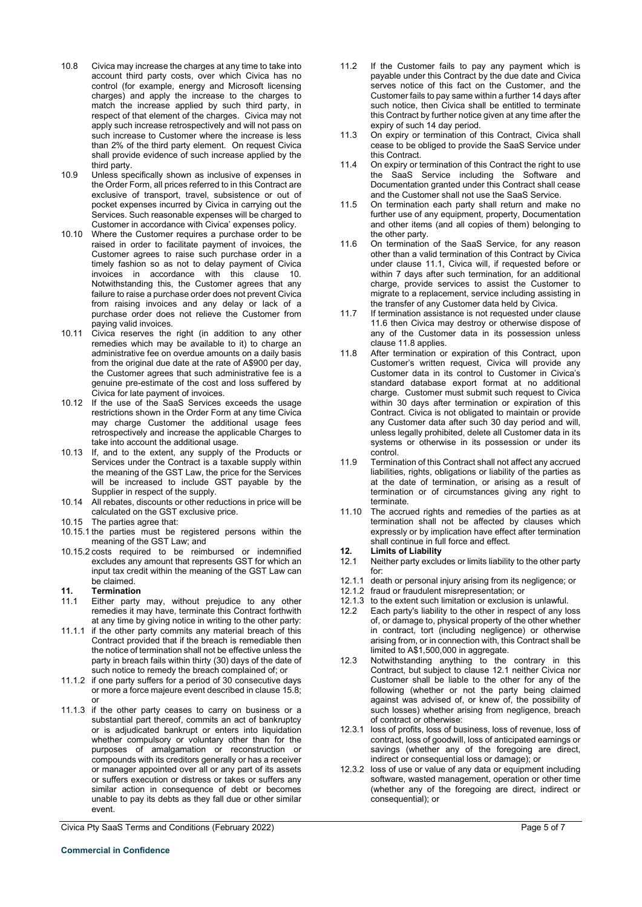- 10.8 Civica may increase the charges at any time to take into account third party costs, over which Civica has no control (for example, energy and Microsoft licensing charges) and apply the increase to the charges to match the increase applied by such third party, in respect of that element of the charges. Civica may not apply such increase retrospectively and will not pass on such increase to Customer where the increase is less than 2% of the third party element. On request Civica shall provide evidence of such increase applied by the third party.
- 10.9 Unless specifically shown as inclusive of expenses in the Order Form, all prices referred to in this Contract are exclusive of transport, travel, subsistence or out of pocket expenses incurred by Civica in carrying out the Services. Such reasonable expenses will be charged to Customer in accordance with Civica' expenses policy.
- 10.10 Where the Customer requires a purchase order to be raised in order to facilitate payment of invoices, the Customer agrees to raise such purchase order in a timely fashion so as not to delay payment of Civica invoices in accordance with this clause 10. Notwithstanding this, the Customer agrees that any failure to raise a purchase order does not prevent Civica from raising invoices and any delay or lack of a purchase order does not relieve the Customer from paying valid invoices.
- 10.11 Civica reserves the right (in addition to any other remedies which may be available to it) to charge an administrative fee on overdue amounts on a daily basis from the original due date at the rate of A\$900 per day, the Customer agrees that such administrative fee is a genuine pre-estimate of the cost and loss suffered by Civica for late payment of invoices.
- 10.12 If the use of the SaaS Services exceeds the usage restrictions shown in the Order Form at any time Civica may charge Customer the additional usage fees retrospectively and increase the applicable Charges to take into account the additional usage.
- 10.13 If, and to the extent, any supply of the Products or Services under the Contract is a taxable supply within the meaning of the GST Law, the price for the Services will be increased to include GST payable by the Supplier in respect of the supply.
- 10.14 All rebates, discounts or other reductions in price will be calculated on the GST exclusive price.
- 10.15 The parties agree that:
- 10.15.1 the parties must be registered persons within the meaning of the GST Law; and
- 10.15.2 costs required to be reimbursed or indemnified excludes any amount that represents GST for which an input tax credit within the meaning of the GST Law can be claimed.

### **11. Termination**

- Either party may, without prejudice to any other remedies it may have, terminate this Contract forthwith at any time by giving notice in writing to the other party:
- 11.1.1 if the other party commits any material breach of this Contract provided that if the breach is remediable then the notice of termination shall not be effective unless the party in breach fails within thirty (30) days of the date of such notice to remedy the breach complained of; or
- 11.1.2 if one party suffers for a period of 30 consecutive days or more a force majeure event described in clause 15.8; or
- 11.1.3 if the other party ceases to carry on business or a substantial part thereof, commits an act of bankruptcy or is adjudicated bankrupt or enters into liquidation whether compulsory or voluntary other than for the purposes of amalgamation or reconstruction or compounds with its creditors generally or has a receiver or manager appointed over all or any part of its assets or suffers execution or distress or takes or suffers any similar action in consequence of debt or becomes unable to pay its debts as they fall due or other similar event.

Civica Pty SaaS Terms and Conditions (February 2022) **Page 5 of 7** and 2011 11 and 2012 12:30 Page 5 of 7

- 11.2 If the Customer fails to pay any payment which is payable under this Contract by the due date and Civica serves notice of this fact on the Customer, and the Customer fails to pay same within a further 14 days after such notice, then Civica shall be entitled to terminate this Contract by further notice given at any time after the expiry of such 14 day period.
- 11.3 On expiry or termination of this Contract, Civica shall cease to be obliged to provide the SaaS Service under this Contract.
- 11.4 On expiry or termination of this Contract the right to use the SaaS Service including the Software and Documentation granted under this Contract shall cease and the Customer shall not use the SaaS Service.
- 11.5 On termination each party shall return and make no further use of any equipment, property, Documentation and other items (and all copies of them) belonging to the other party.
- 11.6 On termination of the SaaS Service, for any reason other than a valid termination of this Contract by Civica under clause 11.1, Civica will, if requested before or within 7 days after such termination, for an additional charge, provide services to assist the Customer to migrate to a replacement, service including assisting in the transfer of any Customer data held by Civica.
- 11.7 If termination assistance is not requested under clause 11.6 then Civica may destroy or otherwise dispose of any of the Customer data in its possession unless clause 11.8 applies.
- 11.8 After termination or expiration of this Contract, upon Customer's written request, Civica will provide any Customer data in its control to Customer in Civica's standard database export format at no additional charge. Customer must submit such request to Civica within 30 days after termination or expiration of this Contract. Civica is not obligated to maintain or provide any Customer data after such 30 day period and will, unless legally prohibited, delete all Customer data in its systems or otherwise in its possession or under its control.
- 11.9 Termination of this Contract shall not affect any accrued liabilities, rights, obligations or liability of the parties as at the date of termination, or arising as a result of termination or of circumstances giving any right to terminate.
- 11.10 The accrued rights and remedies of the parties as at termination shall not be affected by clauses which expressly or by implication have effect after termination shall continue in full force and effect.
- **12. Limits of Liability**
- Neither party excludes or limits liability to the other party for:
- 12.1.1 death or personal injury arising from its negligence; or
- 12.1.2 fraud or fraudulent misrepresentation; or
- 12.1.3 to the extent such limitation or exclusion is unlawful.<br>12.2 Each party's liability to the other in respect of any lo
- Each party's liability to the other in respect of any loss of, or damage to, physical property of the other whether in contract, tort (including negligence) or otherwise arising from, or in connection with, this Contract shall be limited to A\$1,500,000 in aggregate.
- 12.3 Notwithstanding anything to the contrary in this Contract, but subject to clause 12.1 neither Civica nor Customer shall be liable to the other for any of the following (whether or not the party being claimed against was advised of, or knew of, the possibility of such losses) whether arising from negligence, breach of contract or otherwise:
- 12.3.1 loss of profits, loss of business, loss of revenue, loss of contract, loss of goodwill, loss of anticipated earnings or savings (whether any of the foregoing are direct, indirect or consequential loss or damage); or
- 12.3.2 loss of use or value of any data or equipment including software, wasted management, operation or other time (whether any of the foregoing are direct, indirect or consequential); or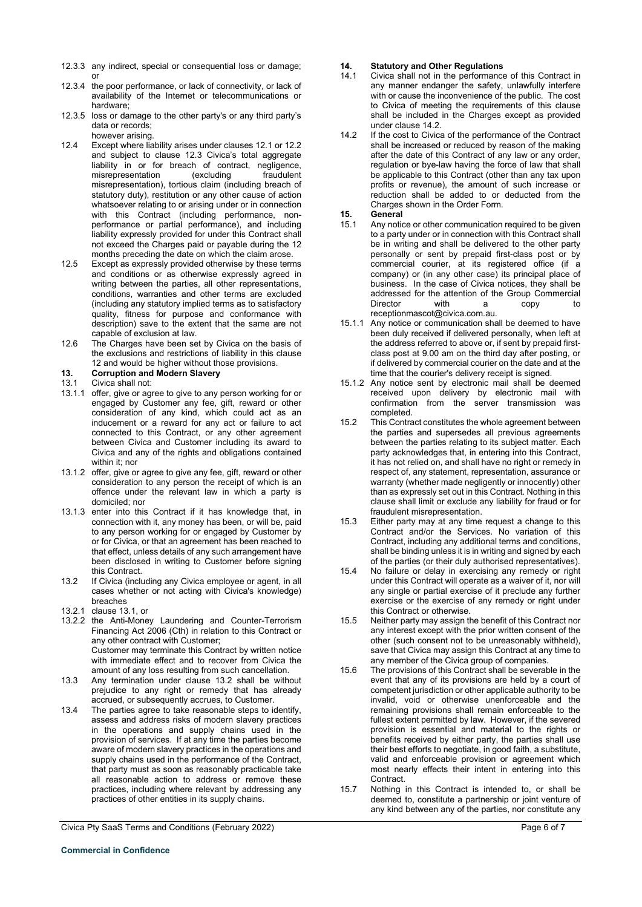- 12.3.3 any indirect, special or consequential loss or damage; or
- 12.3.4 the poor performance, or lack of connectivity, or lack of availability of the Internet or telecommunications or hardware;
- 12.3.5 loss or damage to the other party's or any third party's data or records; however arising.
- 12.4 Except where liability arises under clauses 12.1 or 12.2 and subject to clause 12.3 Civica's total aggregate liability in or for breach of contract, negligence,<br>misrepresentation (excluding fraudulent misrepresentation (excluding fraudulent misrepresentation), tortious claim (including breach of statutory duty), restitution or any other cause of action whatsoever relating to or arising under or in connection with this Contract (including performance, nonperformance or partial performance), and including liability expressly provided for under this Contract shall not exceed the Charges paid or payable during the 12 months preceding the date on which the claim arose.
- 12.5 Except as expressly provided otherwise by these terms and conditions or as otherwise expressly agreed in writing between the parties, all other representations, conditions, warranties and other terms are excluded (including any statutory implied terms as to satisfactory quality, fitness for purpose and conformance with description) save to the extent that the same are not capable of exclusion at law.
- 12.6 The Charges have been set by Civica on the basis of the exclusions and restrictions of liability in this clause 12 and would be higher without those provisions.
- **13. Corruption and Modern Slavery**
- Civica shall not:
- 13.1.1 offer, give or agree to give to any person working for or engaged by Customer any fee, gift, reward or other consideration of any kind, which could act as an inducement or a reward for any act or failure to act connected to this Contract, or any other agreement between Civica and Customer including its award to Civica and any of the rights and obligations contained within it; nor
- 13.1.2 offer, give or agree to give any fee, gift, reward or other consideration to any person the receipt of which is an offence under the relevant law in which a party is domiciled; nor
- 13.1.3 enter into this Contract if it has knowledge that, in connection with it, any money has been, or will be, paid to any person working for or engaged by Customer by or for Civica, or that an agreement has been reached to that effect, unless details of any such arrangement have been disclosed in writing to Customer before signing this Contract.
- 13.2 If Civica (including any Civica employee or agent, in all cases whether or not acting with Civica's knowledge) breaches
- 13.2.1 clause 13.1, or
- 13.2.2 the Anti-Money Laundering and Counter-Terrorism Financing Act 2006 (Cth) in relation to this Contract or any other contract with Customer; Customer may terminate this Contract by written notice with immediate effect and to recover from Civica the amount of any loss resulting from such cancellation.
- 13.3 Any termination under clause 13.2 shall be without prejudice to any right or remedy that has already accrued, or subsequently accrues, to Customer.
- 13.4 The parties agree to take reasonable steps to identify, assess and address risks of modern slavery practices in the operations and supply chains used in the provision of services. If at any time the parties become aware of modern slavery practices in the operations and supply chains used in the performance of the Contract, that party must as soon as reasonably practicable take all reasonable action to address or remove these practices, including where relevant by addressing any practices of other entities in its supply chains.

any manner endanger the safety, unlawfully interfere with or cause the inconvenience of the public. The cost to Civica of meeting the requirements of this clause shall be included in the Charges except as provided under clause 14.2.

Civica shall not in the performance of this Contract in

**14. Statutory and Other Regulations**

14.2 If the cost to Civica of the performance of the Contract shall be increased or reduced by reason of the making after the date of this Contract of any law or any order, regulation or bye-law having the force of law that shall be applicable to this Contract (other than any tax upon profits or revenue), the amount of such increase or reduction shall be added to or deducted from the Charges shown in the Order Form.

# **15. General**

- Any notice or other communication required to be given to a party under or in connection with this Contract shall be in writing and shall be delivered to the other party personally or sent by prepaid first-class post or by commercial courier, at its registered office (if a company) or (in any other case) its principal place of business. In the case of Civica notices, they shall be addressed for the attention of the Group Commercial<br>Director with a copy to Director with a copy to receptionmascot@civica.com.au.
- 15.1.1 Any notice or communication shall be deemed to have been duly received if delivered personally, when left at the address referred to above or, if sent by prepaid firstclass post at 9.00 am on the third day after posting, or if delivered by commercial courier on the date and at the time that the courier's delivery receipt is signed.
- 15.1.2 Any notice sent by electronic mail shall be deemed received upon delivery by electronic mail with confirmation from the server transmission was completed.
- 15.2 This Contract constitutes the whole agreement between the parties and supersedes all previous agreements between the parties relating to its subject matter. Each party acknowledges that, in entering into this Contract, it has not relied on, and shall have no right or remedy in respect of, any statement, representation, assurance or warranty (whether made negligently or innocently) other than as expressly set out in this Contract. Nothing in this clause shall limit or exclude any liability for fraud or for fraudulent misrepresentation.
- 15.3 Either party may at any time request a change to this Contract and/or the Services. No variation of this Contract, including any additional terms and conditions, shall be binding unless it is in writing and signed by each of the parties (or their duly authorised representatives).
- 15.4 No failure or delay in exercising any remedy or right under this Contract will operate as a waiver of it, nor will any single or partial exercise of it preclude any further exercise or the exercise of any remedy or right under this Contract or otherwise.
- 15.5 Neither party may assign the benefit of this Contract nor any interest except with the prior written consent of the other (such consent not to be unreasonably withheld), save that Civica may assign this Contract at any time to any member of the Civica group of companies.
- 15.6 The provisions of this Contract shall be severable in the event that any of its provisions are held by a court of competent jurisdiction or other applicable authority to be invalid, void or otherwise unenforceable and the remaining provisions shall remain enforceable to the fullest extent permitted by law. However, if the severed provision is essential and material to the rights or benefits received by either party, the parties shall use their best efforts to negotiate, in good faith, a substitute, valid and enforceable provision or agreement which most nearly effects their intent in entering into this Contract.
- 15.7 Nothing in this Contract is intended to, or shall be deemed to, constitute a partnership or joint venture of any kind between any of the parties, nor constitute any

Civica Pty SaaS Terms and Conditions (February 2022) **Page 6 of 7** and 2012 1999 6 of 7